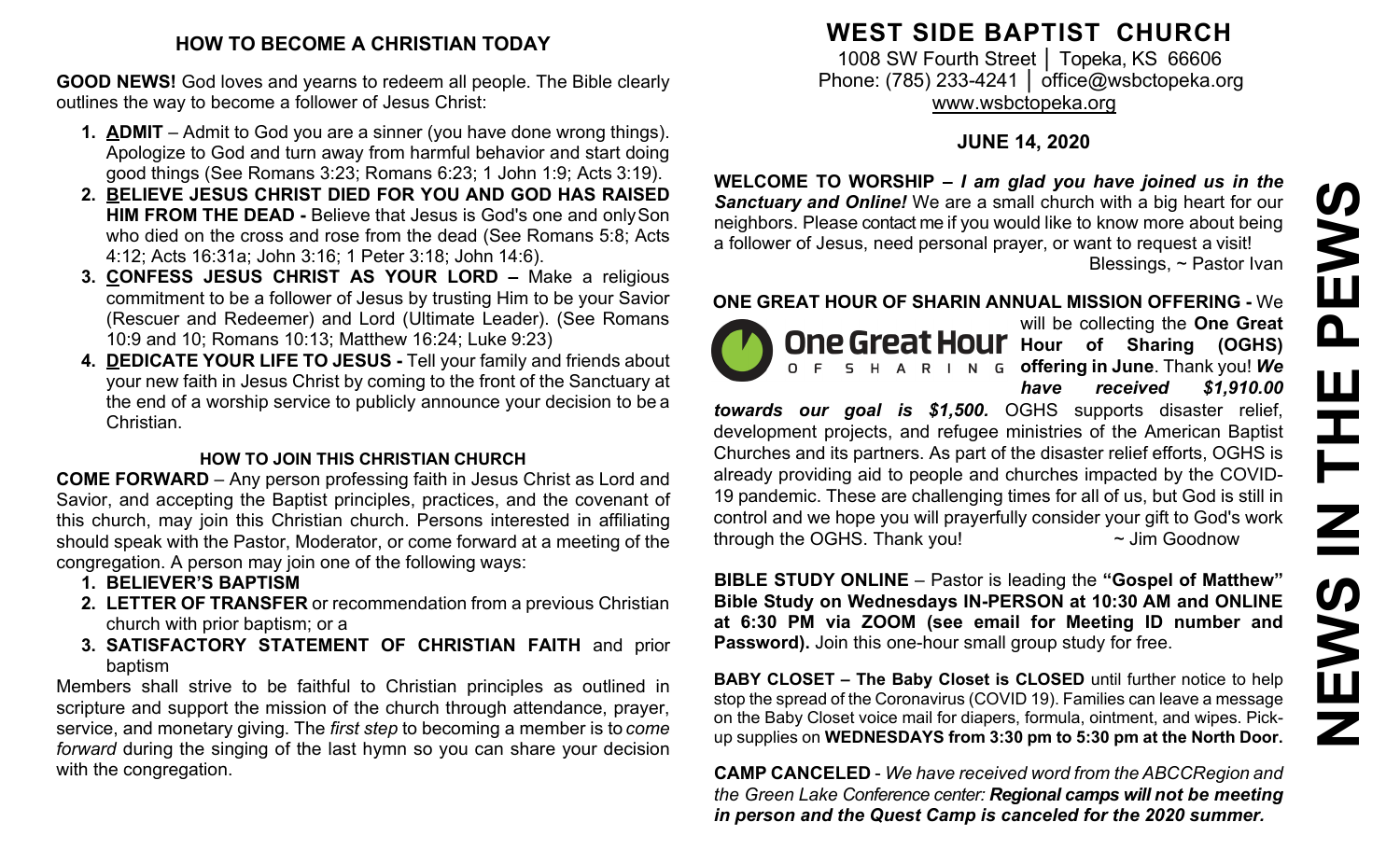#### **HOW TO BECOME A CHRISTIAN TODAY**

**GOOD NEWS!** God loves and yearns to redeem all people. The Bible clearly outlines the way to become a follower of Jesus Christ:

- **1. ADMIT**  Admit to God you are a sinner (you have done wrong things). Apologize to God and turn away from harmful behavior and start doing good things (See Romans 3:23; Romans 6:23; 1 John 1:9; Acts 3:19).
- **2. BELIEVE JESUS CHRIST DIED FOR YOU AND GOD HAS RAISED HIM FROM THE DEAD -** Believe that Jesus is God's one and onlySon who died on the cross and rose from the dead (See Romans 5:8; Acts 4:12; Acts 16:31a; John 3:16; 1 Peter 3:18; John 14:6).
- **3. CONFESS JESUS CHRIST AS YOUR LORD –** Make a religious commitment to be a follower of Jesus by trusting Him to be your Savior (Rescuer and Redeemer) and Lord (Ultimate Leader). (See Romans 10:9 and 10; Romans 10:13; Matthew 16:24; Luke 9:23)
- **4. DEDICATE YOUR LIFE TO JESUS -** Tell your family and friends about your new faith in Jesus Christ by coming to the front of the Sanctuary at the end of a worship service to publicly announce your decision to be a Christian.

### **HOW TO JOIN THIS CHRISTIAN CHURCH**

**COME FORWARD** – Any person professing faith in Jesus Christ as Lord and Savior, and accepting the Baptist principles, practices, and the covenant of this church, may join this Christian church. Persons interested in affiliating should speak with the Pastor, Moderator, or come forward at a meeting of the congregation. A person may join one of the following ways:

- **1. BELIEVER'S BAPTISM**
- **2. LETTER OF TRANSFER** or recommendation from a previous Christian church with prior baptism; or a
- **3. SATISFACTORY STATEMENT OF CHRISTIAN FAITH** and prior baptism

Members shall strive to be faithful to Christian principles as outlined in scripture and support the mission of the church through attendance, prayer, service, and monetary giving. The *first step* to becoming a member is to *come forward* during the singing of the last hymn so you can share your decision with the congregation.

# **WEST SIDE BAPTIST CHURCH**

1008 SW Fourth Street | Topeka, KS 66606 Phone: (785) 233-4241 │ [office@wsbctopeka.org](mailto:office@wsbctopeka.org) [www.wsbctopeka.org](http://www.wsbctopeka.org/)

# **JUNE 14, 2020**

**WELCOME TO WORSHIP –** *I am glad you have joined us in the Sanctuary and Online!* We are a small church with a big heart for our neighbors. Please contact me if you would like to know more about being a follower of Jesus, need personal prayer, or want to request a visit! Blessings, ~ Pastor Ivan

### **ONE GREAT HOUR OF SHARIN ANNUAL MISSION OFFERING -** We



will be collecting the **One Great One Great Hour** Hour of Sharing (OGHS) **offering in June**. Thank you! *We have received \$1,910.00* 

*towards our goal is \$1,500.* OGHS supports disaster relief, development projects, and refugee ministries of the American Baptist Churches and its partners. As part of the disaster relief efforts, OGHS is already providing aid to people and churches impacted by the COVID-19 pandemic. These are challenging times for all of us, but God is still in control and we hope you will prayerfully consider your gift to God's work through the OGHS. Thank you!  $\sim$  Jim Goodnow

**BIBLE STUDY ONLINE** – Pastor is leading the **"Gospel of Matthew" Bible Study on Wednesdays IN-PERSON at 10:30 AM and ONLINE at 6:30 PM via ZOOM (see email for Meeting ID number and Password).** Join this one-hour small group study for free.

**BABY CLOSET – The Baby Closet is CLOSED** until further notice to help stop the spread of the Coronavirus (COVID 19). Families can leave a message on the Baby Closet voice mail for diapers, formula, ointment, and wipes. Pickup supplies on **WEDNESDAYS from 3:30 pm to 5:30 pm at the North Door.**

**CAMP CANCELED** - *We have received word from the ABCCRegion and the Green Lake Conference center: Regional camps will not be meeting in person and the Quest Camp is canceled for the 2020 summer.*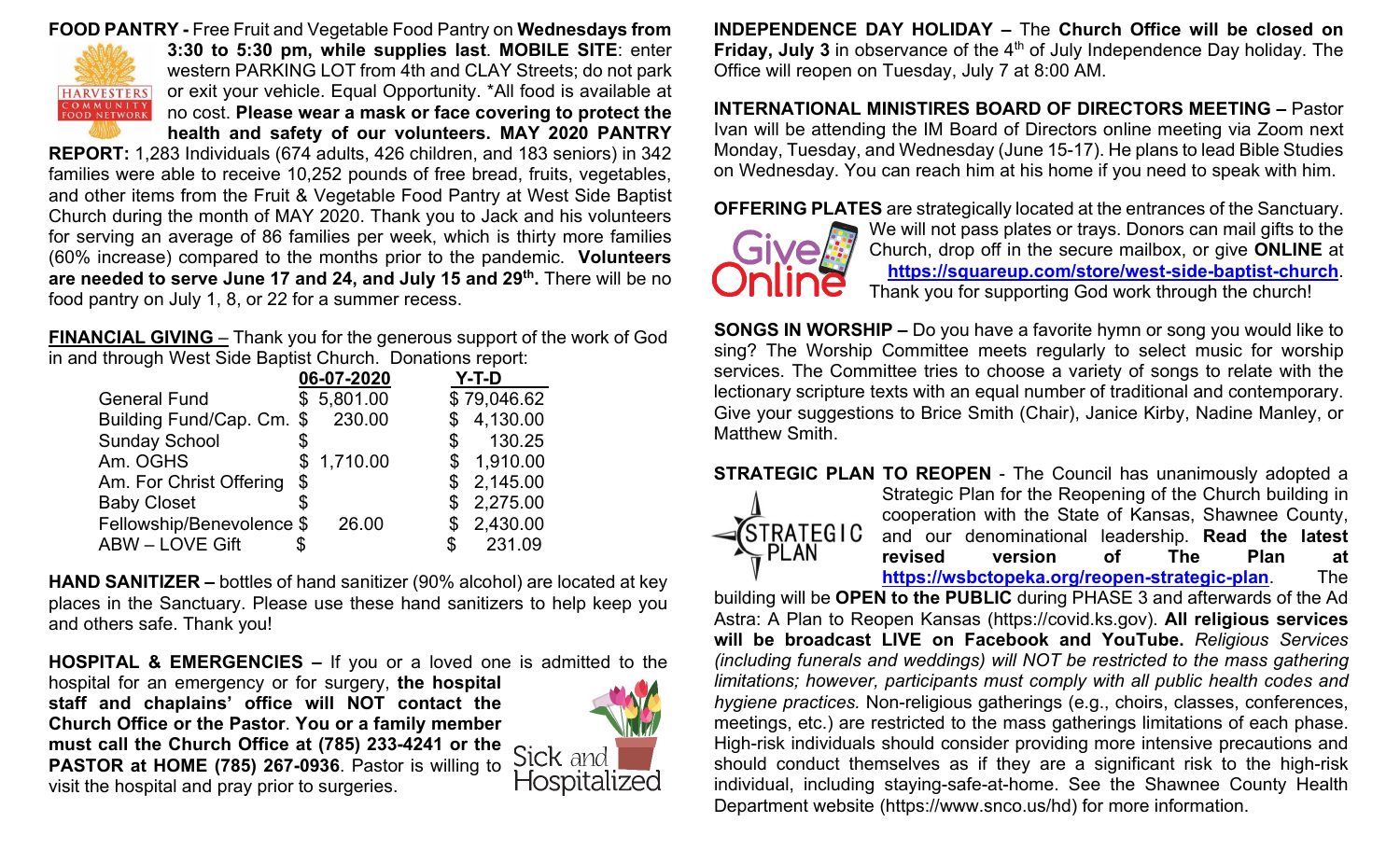#### **FOOD PANTRY -** Free Fruit and Vegetable Food Pantry on **Wednesdays from**



**3:30 to 5:30 pm, while supplies last**. **MOBILE SITE**: enter western PARKING LOT from 4th and CLAY Streets; do not park or exit your vehicle. Equal Opportunity. \*All food is available at no cost. **Please wear a mask or face covering to protect the health and safety of our volunteers. MAY 2020 PANTRY** 

**REPORT:** 1,283 Individuals (674 adults, 426 children, and 183 seniors) in 342 families were able to receive 10,252 pounds of free bread, fruits, vegetables, and other items from the Fruit & Vegetable Food Pantry at West Side Baptist Church during the month of MAY 2020. Thank you to Jack and his volunteers for serving an average of 86 families per week, which is thirty more families (60% increase) compared to the months prior to the pandemic. **Volunteers are needed to serve June 17 and 24, and July 15 and 29th.** There will be no food pantry on July 1, 8, or 22 for a summer recess.

**FINANCIAL GIVING** – Thank you for the generous support of the work of God in and through West Side Baptist Church. Donations report:

|                           |    | 06-07-2020 | $Y-T-D$ |             |
|---------------------------|----|------------|---------|-------------|
| <b>General Fund</b>       |    | \$5,801.00 |         | \$79,046.62 |
| Building Fund/Cap. Cm. \$ |    | 230.00     |         | \$4,130.00  |
| <b>Sunday School</b>      |    |            | \$      | 130.25      |
| Am. OGHS                  |    | \$1,710.00 | \$      | 1,910.00    |
| Am. For Christ Offering   | \$ |            |         | \$2,145.00  |
| <b>Baby Closet</b>        | S  |            |         | \$2,275.00  |
| Fellowship/Benevolence \$ |    | 26.00      |         | \$2,430.00  |
| <b>ABW - LOVE Gift</b>    |    |            | ዳ.      | 231.09      |

**HAND SANITIZER –** bottles of hand sanitizer (90% alcohol) are located at key places in the Sanctuary. Please use these hand sanitizers to help keep you and others safe. Thank you!

**HOSPITAL & EMERGENCIES –** If you or a loved one is admitted to the

hospital for an emergency or for surgery, **the hospital staff and chaplains' office will NOT contact the Church Office or the Pastor**. **You or a family member must call the Church Office at (785) 233-4241 or the PASTOR at HOME (785) 267-0936**. Pastor is willing to visit the hospital and pray prior to surgeries.



**INDEPENDENCE DAY HOLIDAY –** The **Church Office will be closed on Friday, July 3** in observance of the 4<sup>th</sup> of July Independence Day holiday. The Office will reopen on Tuesday, July 7 at 8:00 AM.

**INTERNATIONAL MINISTIRES BOARD OF DIRECTORS MEETING –** Pastor Ivan will be attending the IM Board of Directors online meeting via Zoom next Monday, Tuesday, and Wednesday (June 15-17). He plans to lead Bible Studies on Wednesday. You can reach him at his home if you need to speak with him.

**OFFERING PLATES** are strategically located at the entrances of the Sanctuary.



We will not pass plates or trays. Donors can mail gifts to the Church, drop off in the secure mailbox, or give **ONLINE** at **<https://squareup.com/store/west-side-baptist-church>**. Thank you for supporting God work through the church!

**SONGS IN WORSHIP –** Do you have a favorite hymn or song you would like to sing? The Worship Committee meets regularly to select music for worship services. The Committee tries to choose a variety of songs to relate with the lectionary scripture texts with an equal number of traditional and contemporary. Give your suggestions to Brice Smith (Chair), Janice Kirby, Nadine Manley, or Matthew Smith.

**STRATEGIC PLAN TO REOPEN** - The Council has unanimously adopted a



Strategic Plan for the Reopening of the Church building in cooperation with the State of Kansas, Shawnee County, and our denominational leadership. **Read the latest revised version of The Plan at<br>
https://wsbctopeka.org/reopen-strategic-plan.** The **<https://wsbctopeka.org/reopen-strategic-plan>**. The

building will be **OPEN to the PUBLIC** during PHASE 3 and afterwards of the Ad Astra: A Plan to Reopen Kansas (https://covid.ks.gov). **All religious services will be broadcast LIVE on Facebook and YouTube.** *Religious Services (including funerals and weddings) will NOT be restricted to the mass gathering limitations; however, participants must comply with all public health codes and hygiene practices.* Non-religious gatherings (e.g., choirs, classes, conferences, meetings, etc.) are restricted to the mass gatherings limitations of each phase. High-risk individuals should consider providing more intensive precautions and should conduct themselves as if they are a significant risk to the high-risk individual, including staying-safe-at-home. See the Shawnee County Health Department website (https://www.snco.us/hd) for more information.